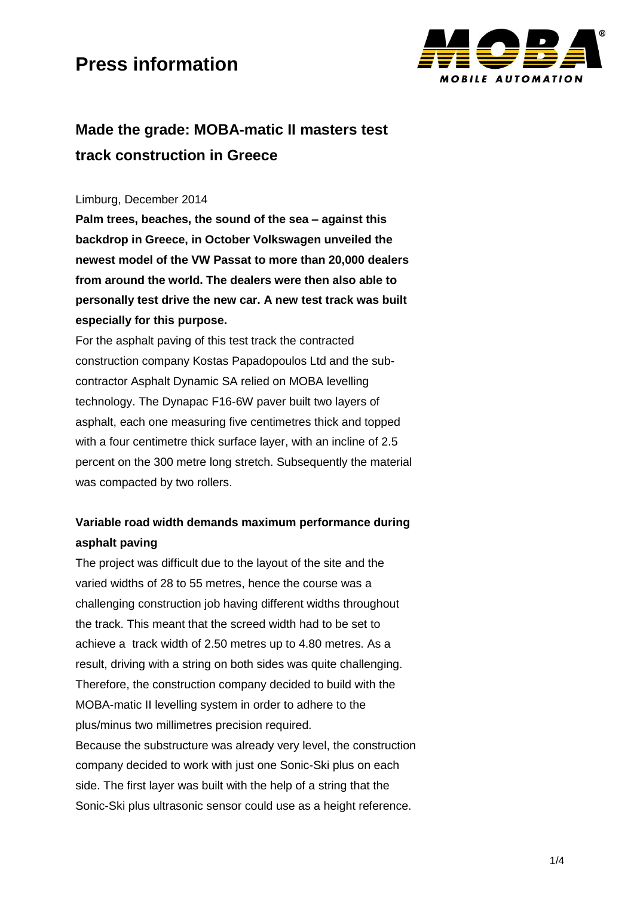

### **Made the grade: MOBA-matic II masters test track construction in Greece**

#### Limburg, December 2014

**Palm trees, beaches, the sound of the sea – against this backdrop in Greece, in October Volkswagen unveiled the newest model of the VW Passat to more than 20,000 dealers from around the world. The dealers were then also able to personally test drive the new car. A new test track was built especially for this purpose.** 

For the asphalt paving of this test track the contracted construction company Kostas Papadopoulos Ltd and the subcontractor Asphalt Dynamic SA relied on MOBA levelling technology. The Dynapac F16-6W paver built two layers of asphalt, each one measuring five centimetres thick and topped with a four centimetre thick surface laver, with an incline of 2.5 percent on the 300 metre long stretch. Subsequently the material was compacted by two rollers.

### **Variable road width demands maximum performance during asphalt paving**

The project was difficult due to the layout of the site and the varied widths of 28 to 55 metres, hence the course was a challenging construction job having different widths throughout the track. This meant that the screed width had to be set to achieve a track width of 2.50 metres up to 4.80 metres. As a result, driving with a string on both sides was quite challenging. Therefore, the construction company decided to build with the MOBA-matic II levelling system in order to adhere to the plus/minus two millimetres precision required. Because the substructure was already very level, the construction company decided to work with just one Sonic-Ski plus on each side. The first layer was built with the help of a string that the Sonic-Ski plus ultrasonic sensor could use as a height reference.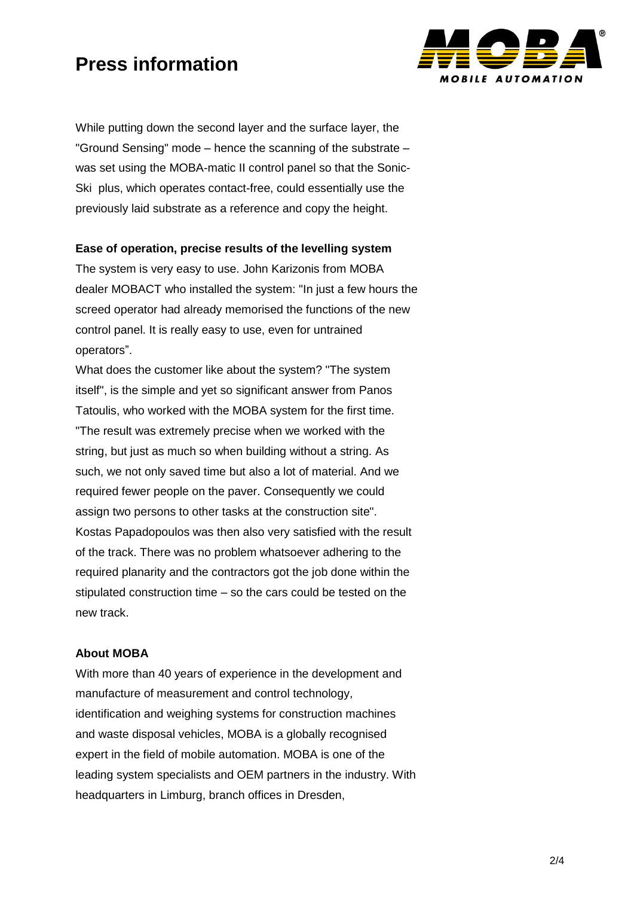

While putting down the second layer and the surface layer, the "Ground Sensing" mode – hence the scanning of the substrate – was set using the MOBA-matic II control panel so that the Sonic-Ski plus, which operates contact-free, could essentially use the previously laid substrate as a reference and copy the height.

#### **Ease of operation, precise results of the levelling system**

The system is very easy to use. John Karizonis from MOBA dealer MOBACT who installed the system: "In just a few hours the screed operator had already memorised the functions of the new control panel. It is really easy to use, even for untrained operators".

What does the customer like about the system? "The system itself", is the simple and yet so significant answer from Panos Tatoulis, who worked with the MOBA system for the first time. "The result was extremely precise when we worked with the string, but just as much so when building without a string. As such, we not only saved time but also a lot of material. And we required fewer people on the paver. Consequently we could assign two persons to other tasks at the construction site". Kostas Papadopoulos was then also very satisfied with the result of the track. There was no problem whatsoever adhering to the required planarity and the contractors got the job done within the stipulated construction time – so the cars could be tested on the new track.

#### **About MOBA**

With more than 40 years of experience in the development and manufacture of measurement and control technology, identification and weighing systems for construction machines and waste disposal vehicles, MOBA is a globally recognised expert in the field of mobile automation. MOBA is one of the leading system specialists and OEM partners in the industry. With headquarters in Limburg, branch offices in Dresden,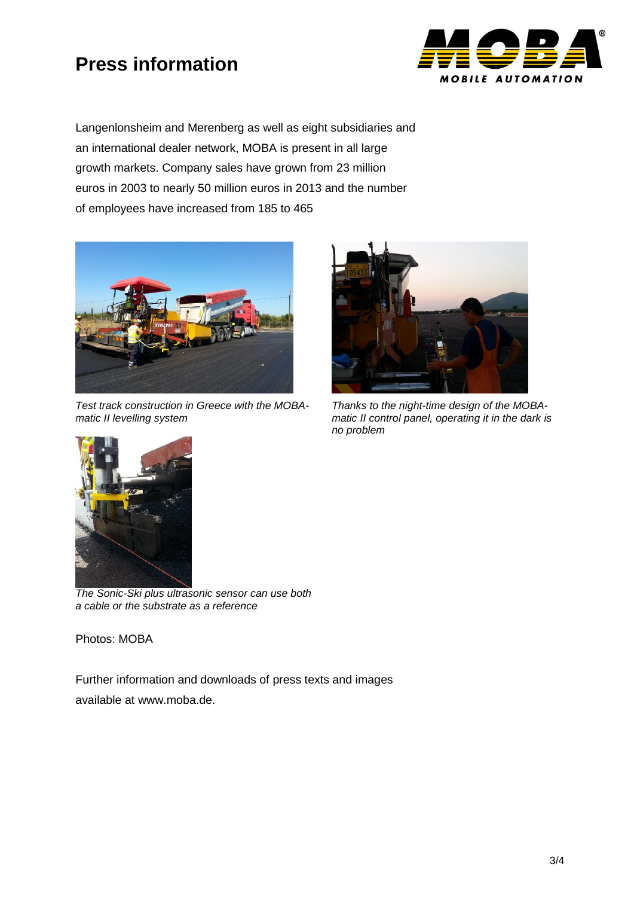

Langenlonsheim and Merenberg as well as eight subsidiaries and an international dealer network, MOBA is present in all large growth markets. Company sales have grown from 23 million euros in 2003 to nearly 50 million euros in 2013 and the number of employees have increased from 185 to 465



*Test track construction in Greece with the MOBAmatic II levelling system*



*Thanks to the night-time design of the MOBAmatic II control panel, operating it in the dark is no problem*



*The Sonic-Ski plus ultrasonic sensor can use both a cable or the substrate as a reference*

Photos: MOBA

Further information and downloads of press texts and images available at www.moba.de.